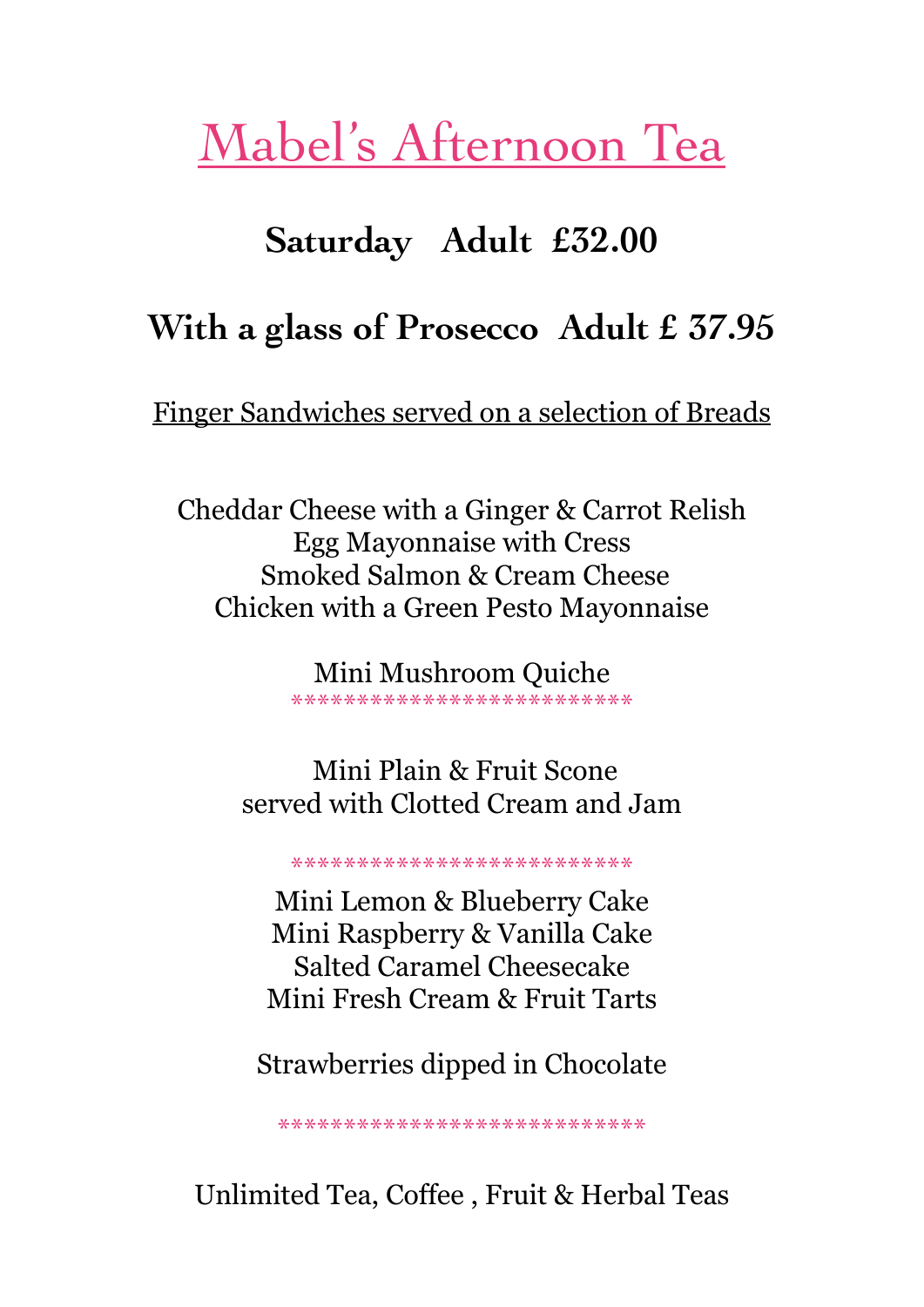## Mabel's Afternoon Tea

## Saturday Adult £32.00

## With a glass of Prosecco Adult £ 37.95

Finger Sandwiches served on a selection of Breads

Cheddar Cheese with a Ginger & Carrot Relish **Egg Mayonnaise with Cress Smoked Salmon & Cream Cheese Chicken with a Green Pesto Mayonnaise** 

> Mini Mushroom Quiche \*\*\*\*\*\*\*\*\*\*\*\*\*\*\*\*\*\*\*\*\*\*\*\*\*\*

Mini Plain & Fruit Scone served with Clotted Cream and Jam

\*\*\*\*\*\*\*\*\*\*\*\*\*\*\*\*\*\*\*\*\*\*\*\*\*\*

Mini Lemon & Blueberry Cake Mini Raspberry & Vanilla Cake **Salted Caramel Cheesecake** Mini Fresh Cream & Fruit Tarts

Strawberries dipped in Chocolate

\*\*\*\*\*\*\*\*\*\*\*\*\*\*\*\*\*\*\*\*\*\*\*\*\*\*\*\*

Unlimited Tea, Coffee, Fruit & Herbal Teas